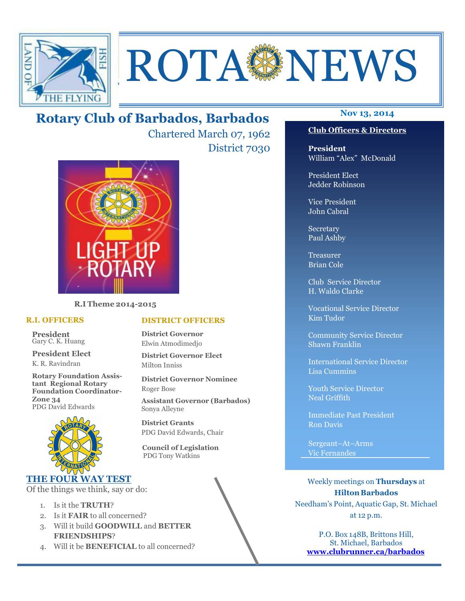

# **ROTA NEWS**

# **Nov 13, 2014 Rotary Club of Barbados, Barbados**

Chartered March 07, 1962 District 7030



**R.I Theme 2014-2015** 

#### **R.I. OFFICERS**

**President** Gary C. K. Huang

**President Elect** K. R. Ravindran

**Rotary Foundation Assistant Regional Rotary Foundation Coordinator-Zone 34**  PDG David Edwards



## **THE FOUR WAY TEST**

Of the things we think, say or do:

- 1. Is it the **TRUTH**?
- 2. Is it **FAIR** to all concerned?
- 3. Will it build **GOODWILL** and **BETTER FRIENDSHIPS**?
- 4. Will it be **BENEFICIAL** to all concerned?

#### **DISTRICT OFFICERS**

**District Governor** Elwin Atmodimedjo

**District Governor Elect** Milton Inniss

**District Governor Nominee**  Roger Bose

**Assistant Governor (Barbados)** Sonya Alleyne

**District Grants**  PDG David Edwards, Chair

 **Council of Legislation**  PDG Tony Watkins

#### **Club Officers & Directors**

**President** William "Alex" McDonald

President Elect Jedder Robinson

Vice President John Cabral

Secretary Paul Ashby

Treasurer Brian Cole

Club Service Director H. Waldo Clarke

Vocational Service Director Kim Tudor

Community Service Director Shawn Franklin

International Service Director Lisa Cummins

Youth Service Director Neal Griffith

Immediate Past President Ron Davis

Sergeant–At–Arms Vic Fernandes

Weekly meetings on **Thursdays** at **Hilton Barbados** Needham's Point, Aquatic Gap, St. Michael at 12 p.m.

P.O. Box 148B, Brittons Hill, St. Michael, Barbados **www.clubrunner.ca/barbados**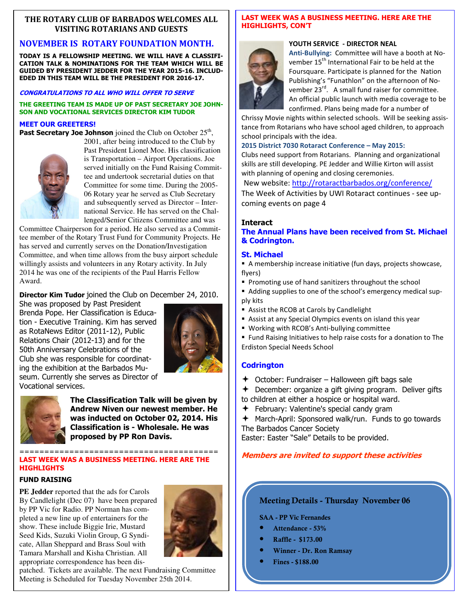#### **THE ROTARY CLUB OF BARBADOS WELCOMES ALL VISITING ROTARIANS AND GUESTS**

### **NOVEMBER IS ROTARY FOUNDATION MONTH.**

**TODAY IS A FELLOWSHIP MEETING. WE WILL HAVE A CLASSIFI-CATION TALK & NOMINATIONS FOR THE TEAM WHICH WILL BE GUIDED BY PRESIDENT JEDDER FOR THE YEAR 2015-16. INCLUD-EDED IN THIS TEAM WILL BE THE PRESIDENT FOR 2016-17.** 

#### **CONGRATULATIONS TO ALL WHO WILL OFFER TO SERVE**

#### **THE GREETING TEAM IS MADE UP OF PAST SECRETARY JOE JOHN-SON AND VOCATIONAL SERVICES DIRECTOR KIM TUDOR**

#### **MEET OUR GREETERS!**

Past Secretary Joe Johnson joined the Club on October 25<sup>th</sup>,



2001, after being introduced to the Club by Past President Lionel Moe. His classification is Transportation – Airport Operations. Joe served initially on the Fund Raising Committee and undertook secretarial duties on that Committee for some time. During the 2005- 06 Rotary year he served as Club Secretary and subsequently served as Director – International Service. He has served on the Challenged/Senior Citizens Committee and was

Committee Chairperson for a period. He also served as a Committee member of the Rotary Trust Fund for Community Projects. He has served and currently serves on the Donation/Investigation Committee, and when time allows from the busy airport schedule willingly assists and volunteers in any Rotary activity. In July 2014 he was one of the recipients of the Paul Harris Fellow Award.

**Director Kim Tudor** joined the Club on December 24, 2010.

She was proposed by Past President Brenda Pope. Her Classification is Education - Executive Training. Kim has served as RotaNews Editor (2011-12), Public Relations Chair (2012-13) and for the 50th Anniversary Celebrations of the Club she was responsible for coordinating the exhibition at the Barbados Museum. Currently she serves as Director of Vocational services.





**The Classification Talk will be given by Andrew Niven our newest member. He was inducted on October 02, 2014. His Classification is - Wholesale. He was proposed by PP Ron Davis.** 

#### ======================================== **LAST WEEK WAS A BUSINESS MEETING. HERE ARE THE HIGHLIGHTS**

#### **FUND RAISING**

**PE Jedder** reported that the ads for Carols By Candlelight (Dec 07) have been prepared by PP Vic for Radio. PP Norman has completed a new line up of entertainers for the show. These include Biggie Irie, Mustard Seed Kids, Suzuki Violin Group, G Syndicate, Allan Sheppard and Brass Soul with Tamara Marshall and Kisha Christian. All appropriate correspondence has been dis-



patched. Tickets are available. The next Fundraising Committee Meeting is Scheduled for Tuesday November 25th 2014.

#### **LAST WEEK WAS A BUSINESS MEETING. HERE ARE THE HIGHLIGHTS, CON'T**



#### **YOUTH SERVICE - DIRECTOR NEAL**

**Anti-Bullying:** Committee will have a booth at November 15<sup>th</sup> International Fair to be held at the Foursquare. Participate is planned for the Nation Publishing's "Funathlon" on the afternoon of November 23<sup>rd</sup>. A small fund raiser for committee. An official public launch with media coverage to be confirmed. Plans being made for a number of

Chrissy Movie nights within selected schools. Will be seeking assistance from Rotarians who have school aged children, to approach school principals with the idea.

#### **2015 District 7030 Rotaract Conference – May 2015:**

Clubs need support from Rotarians. Planning and organizational skills are still developing. PE Jedder and Willie Kirton will assist with planning of opening and closing ceremonies.

New website: http://rotaractbarbados.org/conference/

The Week of Activities by UWI Rotaract continues - see upcoming events on page 4

#### **Interact**

**The Annual Plans have been received from St. Michael & Codrington.** 

#### **St. Michael**

 A membership increase initiative (fun days, projects showcase, flyers)

- **Promoting use of hand sanitizers throughout the school**
- Adding supplies to one of the school's emergency medical supply kits
- Assist the RCOB at Carols by Candlelight
- Assist at any Special Olympics events on island this year
- Working with RCOB's Anti-bullying committee
- **Fund Raising Initiatives to help raise costs for a donation to The** Erdiston Special Needs School

#### **Codrington**

- October: Fundraiser Halloween gift bags sale
- December: organize a gift giving program. Deliver gifts to children at either a hospice or hospital ward.
- ← February: Valentine's special candy gram
- March-April: Sponsored walk/run. Funds to go towards The Barbados Cancer Society

Easter: Easter "Sale" Details to be provided.

#### **Members are invited to support these activities**

#### **Meeting Details - Thursday November 06**

**SAA - PP Vic Fernandes** 

- **Attendance 53%**
- **Raffle \$173.00**
- **Winner Dr. Ron Ramsay**
- **Fines \$188.00**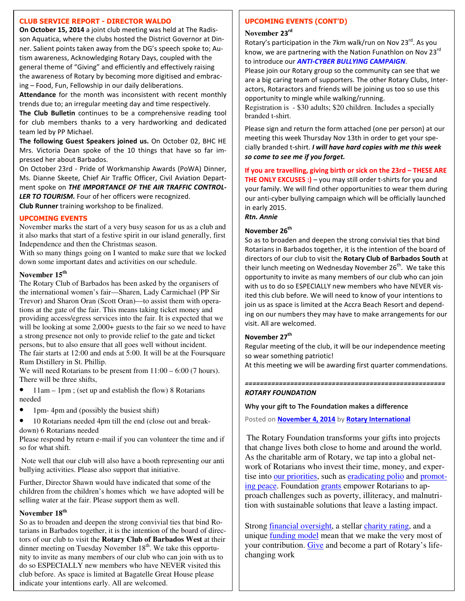#### **CLUB SERVICE REPORT - DIRECTOR WALDO**

**On October 15, 2014** a joint club meeting was held at The Radisson Aquatica, where the clubs hosted the District Governor at Dinner. Salient points taken away from the DG's speech spoke to; Autism awareness, Acknowledging Rotary Days, coupled with the general theme of "Giving" and efficiently and effectively raising the awareness of Rotary by becoming more digitised and embracing – Food, Fun, Fellowship in our daily deliberations.

**Attendance** for the month was inconsistent with recent monthly trends due to; an irregular meeting day and time respectively.

**The Club Bulletin** continues to be a comprehensive reading tool for club members thanks to a very hardworking and dedicated team led by PP Michael.

**The following Guest Speakers joined us.** On October 02, BHC HE Mrs. Victoria Dean spoke of the 10 things that have so far impressed her about Barbados.

On October 23rd - Pride of Workmanship Awards (PoWA) Dinner, Ms. Dianne Skeete, Chief Air Traffic Officer, Civil Aviation Department spoke on *THE IMPORTANCE OF THE AIR TRAFFIC CONTROL-LER TO TOURISM.* Four of her officers were recognized.

**Club Runner** training workshop to be finalized.

#### **UPCOMING EVENTS**

November marks the start of a very busy season for us as a club and it also marks that start of a festive spirit in our island generally, first Independence and then the Christmas season.

With so many things going on I wanted to make sure that we locked down some important dates and activities on our schedule.

#### **November 15th**

The Rotary Club of Barbados has been asked by the organisers of the international women's fair—Sharen, Lady Carmichael (PP Sir Trevor) and Sharon Oran (Scott Oran)—to assist them with operations at the gate of the fair. This means taking ticket money and providing access/egress services into the fair. It is expected that we will be looking at some  $2,000+$  guests to the fair so we need to have a strong presence not only to provide relief to the gate and ticket persons, but to also ensure that all goes well without incident. The fair starts at 12:00 and ends at 5:00. It will be at the Foursquare Rum Distillery in St. Phillip.

We will need Rotarians to be present from  $11:00 - 6:00$  (7 hours). There will be three shifts,

• 11am – 1pm; (set up and establish the flow) 8 Rotarians needed

• 1pm- 4pm and (possibly the busiest shift)

• 10 Rotarians needed 4pm till the end (close out and breakdown) 6 Rotarians needed

Please respond by return e-mail if you can volunteer the time and if so for what shift.

 Note well that our club will also have a booth representing our anti bullying activities. Please also support that initiative.

Further, Director Shawn would have indicated that some of the children from the children's homes which we have adopted will be selling water at the fair. Please support them as well.

#### **November 18th**

So as to broaden and deepen the strong convivial ties that bind Rotarians in Barbados together, it is the intention of the board of directors of our club to visit the **Rotary Club of Barbados West** at their dinner meeting on Tuesday November  $18<sup>th</sup>$ . We take this opportunity to invite as many members of our club who can join with us to do so ESPECIALLY new members who have NEVER visited this club before. As space is limited at Bagatelle Great House please indicate your intentions early. All are welcomed.

#### **UPCOMING EVENTS (CONT'D)**

#### **November 23rd**

Rotary's participation in the 7km walk/run on Nov 23<sup>rd</sup>. As you know, we are partnering with the Nation Funathlon on Nov 23<sup>rd</sup> to introduce our *ANTI-CYBER BULLYING CAMPAIGN*.

Please join our Rotary group so the community can see that we are a big caring team of supporters. The other Rotary Clubs, Interactors, Rotaractors and friends will be joining us too so use this opportunity to mingle while walking/running.

Registration is - \$30 adults; \$20 children. Includes a specially branded t-shirt.

Please sign and return the form attached (one per person) at our meeting this week Thursday Nov 13th in order to get your specially branded t-shirt. *I will have hard copies with me this week so come to see me if you forget.* 

**If you are travelling, giving birth or sick on the 23rd – THESE ARE THE ONLY EXCUSES :)** – you may still order t-shirts for you and your family. We will find other opportunities to wear them during our anti-cyber bullying campaign which will be officially launched in early 2015.

*Rtn. Annie* 

#### **November 26th**

So as to broaden and deepen the strong convivial ties that bind Rotarians in Barbados together, it is the intention of the board of directors of our club to visit the **Rotary Club of Barbados South** at their lunch meeting on Wednesday November 26<sup>th</sup>. We take this opportunity to invite as many members of our club who can join with us to do so ESPECIALLY new members who have NEVER visited this club before. We will need to know of your intentions to join us as space is limited at the Accra Beach Resort and depending on our numbers they may have to make arrangements for our visit. All are welcomed.

#### **November 27th**

Regular meeting of the club, it will be our independence meeting so wear something patriotic!

At this meeting we will be awarding first quarter commendations.

*=====================================================* 

#### *ROTARY FOUNDATION*

#### **Why your gift to The Foundation makes a difference**

Posted on **November 4, 2014** by **Rotary International**

The Rotary Foundation transforms your gifts into projects that change lives both close to home and around the world. As the charitable arm of Rotary, we tap into a global network of Rotarians who invest their time, money, and expertise into our priorities, such as eradicating polio and promoting peace. Foundation grants empower Rotarians to approach challenges such as poverty, illiteracy, and malnutrition with sustainable solutions that leave a lasting impact.

Strong financial oversight, a stellar charity rating, and a unique funding model mean that we make the very most of your contribution. Give and become a part of Rotary's lifechanging work